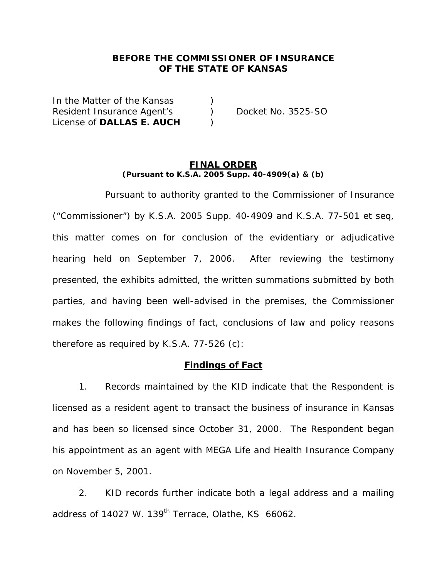## **BEFORE THE COMMISSIONER OF INSURANCE OF THE STATE OF KANSAS**

In the Matter of the Kansas (a) Resident Insurance Agent's (a) Docket No. 3525-SO License of **DALLAS E. AUCH** )

#### **FINAL ORDER (Pursuant to K.S.A. 2005 Supp. 40-4909(a) & (b)**

 Pursuant to authority granted to the Commissioner of Insurance ("Commissioner") by K.S.A. 2005 Supp. 40-4909 and K.S.A. 77-501 *et seq*, this matter comes on for conclusion of the evidentiary or adjudicative hearing held on September 7, 2006. After reviewing the testimony presented, the exhibits admitted, the written summations submitted by both parties, and having been well-advised in the premises, the Commissioner makes the following findings of fact, conclusions of law and policy reasons therefore as required by K.S.A. 77-526 (c):

#### **Findings of Fact**

 1. Records maintained by the KID indicate that the Respondent is licensed as a resident agent to transact the business of insurance in Kansas and has been so licensed since October 31, 2000. The Respondent began his appointment as an agent with MEGA Life and Health Insurance Company on November 5, 2001.

 2. KID records further indicate both a legal address and a mailing address of 14027 W. 139<sup>th</sup> Terrace, Olathe, KS 66062.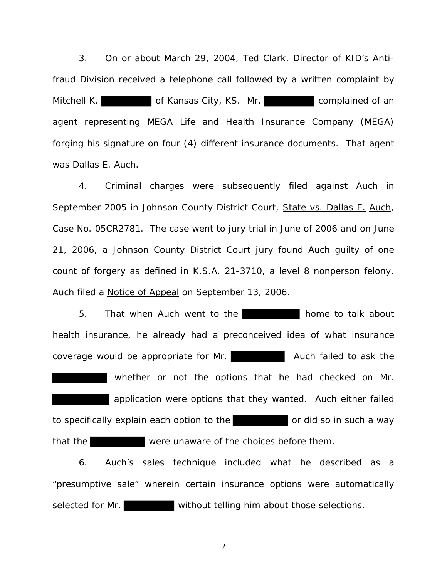3. On or about March 29, 2004, Ted Clark, Director of KID's Antifraud Division received a telephone call followed by a written complaint by Mitchell K. **Complained of Kansas City, KS. Mr. complained of an** agent representing MEGA Life and Health Insurance Company (MEGA) forging his signature on four (4) different insurance documents. That agent was Dallas E. Auch.

4. Criminal charges were subsequently filed against Auch in September 2005 in Johnson County District Court, State vs. Dallas E. Auch, Case No. 05CR2781. The case went to jury trial in June of 2006 and on June 21, 2006, a Johnson County District Court jury found Auch guilty of one count of forgery as defined in K.S.A. 21-3710, a level 8 nonperson felony. Auch filed a Notice of Appeal on September 13, 2006.

5. That when Auch went to the **home to talk about** health insurance, he already had a preconceived idea of what insurance coverage would be appropriate for Mr. **Auch failed to ask the** whether or not the options that he had checked on Mr. application were options that they wanted. Auch either failed to specifically explain each option to the or did so in such a way that the were unaware of the choices before them.

 6. Auch's sales technique included what he described as a "presumptive sale" wherein certain insurance options were automatically selected for Mr. without telling him about those selections.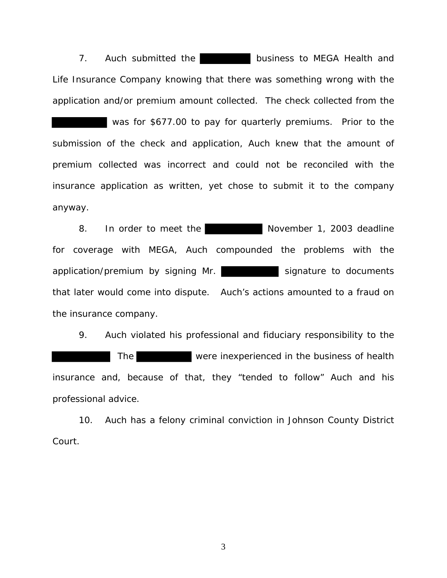7. Auch submitted the **business to MEGA Health and** Life Insurance Company knowing that there was something wrong with the application and/or premium amount collected. The check collected from the

was for \$677.00 to pay for quarterly premiums. Prior to the submission of the check and application, Auch knew that the amount of premium collected was incorrect and could not be reconciled with the insurance application as written, yet chose to submit it to the company anyway.

8. In order to meet the November 1, 2003 deadline for coverage with MEGA, Auch compounded the problems with the application/premium by signing Mr. Signature to documents that later would come into dispute. Auch's actions amounted to a fraud on the insurance company.

 9. Auch violated his professional and fiduciary responsibility to the The were inexperienced in the business of health insurance and, because of that, they "tended to follow" Auch and his professional advice.

 10. Auch has a felony criminal conviction in Johnson County District Court.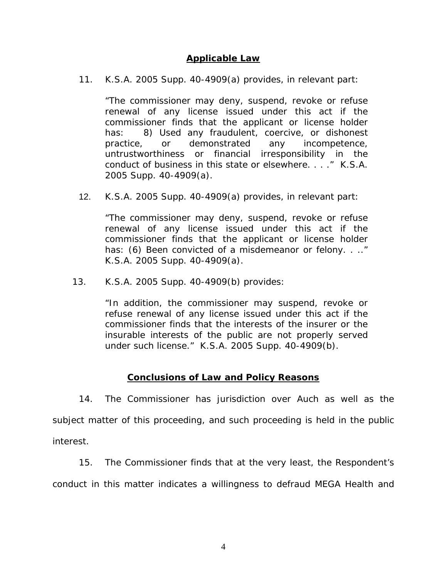## **Applicable Law**

11. K.S.A. 2005 Supp. 40-4909(a) provides, in relevant part:

"The commissioner may deny, suspend, revoke or refuse renewal of any license issued under this act if the commissioner finds that the applicant or license holder has: 8) Used any fraudulent, coercive, or dishonest practice, or demonstrated any incompetence, untrustworthiness or financial irresponsibility in the conduct of business in this state or elsewhere. . . ." K.S.A. 2005 Supp. 40-4909(a).

12. K.S.A. 2005 Supp. 40-4909(a) provides, in relevant part:

"The commissioner may deny, suspend, revoke or refuse renewal of any license issued under this act if the commissioner finds that the applicant or license holder has: (6) Been convicted of a misdemeanor or felony. . .." K.S.A. 2005 Supp. 40-4909(a).

13. K.S.A. 2005 Supp. 40-4909(b) provides:

 "In addition, the commissioner may suspend, revoke or refuse renewal of any license issued under this act if the commissioner finds that the interests of the insurer or the insurable interests of the public are not properly served under such license." K.S.A. 2005 Supp. 40-4909(b).

## **Conclusions of Law and Policy Reasons**

 14. The Commissioner has jurisdiction over Auch as well as the subject matter of this proceeding, and such proceeding is held in the public interest.

15. The Commissioner finds that at the very least, the Respondent's

conduct in this matter indicates a willingness to defraud MEGA Health and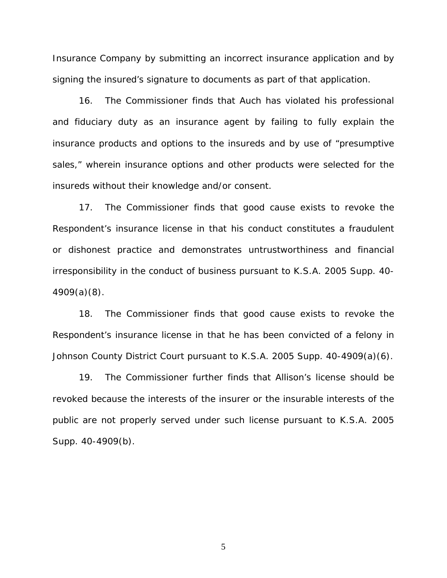Insurance Company by submitting an incorrect insurance application and by signing the insured's signature to documents as part of that application.

 16. The Commissioner finds that Auch has violated his professional and fiduciary duty as an insurance agent by failing to fully explain the insurance products and options to the insureds and by use of "presumptive sales," wherein insurance options and other products were selected for the insureds without their knowledge and/or consent.

 17. The Commissioner finds that good cause exists to revoke the Respondent's insurance license in that his conduct constitutes a fraudulent or dishonest practice and demonstrates untrustworthiness and financial irresponsibility in the conduct of business pursuant to K.S.A. 2005 Supp. 40- 4909(a)(8).

 18. The Commissioner finds that good cause exists to revoke the Respondent's insurance license in that he has been convicted of a felony in Johnson County District Court pursuant to K.S.A. 2005 Supp. 40-4909(a)(6).

 19. The Commissioner further finds that Allison's license should be revoked because the interests of the insurer or the insurable interests of the public are not properly served under such license pursuant to K.S.A. 2005 Supp. 40-4909(b).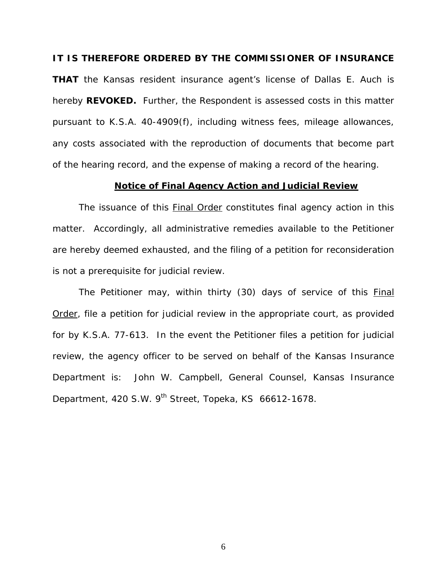#### **IT IS THEREFORE ORDERED BY THE COMMISSIONER OF INSURANCE**

**THAT** the Kansas resident insurance agent's license of Dallas E. Auch is hereby **REVOKED.** Further, the Respondent is assessed costs in this matter pursuant to K.S.A. 40-4909(f), including witness fees, mileage allowances, any costs associated with the reproduction of documents that become part of the hearing record, and the expense of making a record of the hearing.

#### **Notice of Final Agency Action and Judicial Review**

The issuance of this Final Order constitutes final agency action in this matter. Accordingly, all administrative remedies available to the Petitioner are hereby deemed exhausted, and the filing of a petition for reconsideration is not a prerequisite for judicial review.

The Petitioner may, within thirty (30) days of service of this Final Order, file a petition for judicial review in the appropriate court, as provided for by K.S.A. 77-613. In the event the Petitioner files a petition for judicial review, the agency officer to be served on behalf of the Kansas Insurance Department is: John W. Campbell, General Counsel, Kansas Insurance Department, 420 S.W. 9<sup>th</sup> Street, Topeka, KS 66612-1678.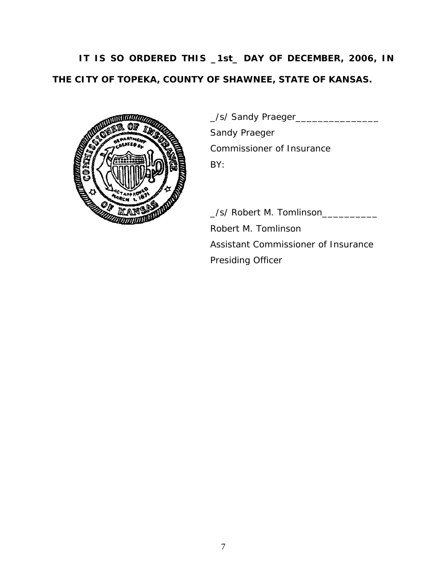# **IT IS SO ORDERED THIS \_1st\_ DAY OF DECEMBER, 2006, IN THE CITY OF TOPEKA, COUNTY OF SHAWNEE, STATE OF KANSAS.**



 \_/s/ Sandy Praeger\_\_\_\_\_\_\_\_\_\_\_\_\_\_\_ Sandy Praeger Commissioner of Insurance

 \_/s/ Robert M. Tomlinson\_\_\_\_\_\_\_\_\_\_ Robert M. Tomlinson Assistant Commissioner of Insurance Presiding Officer